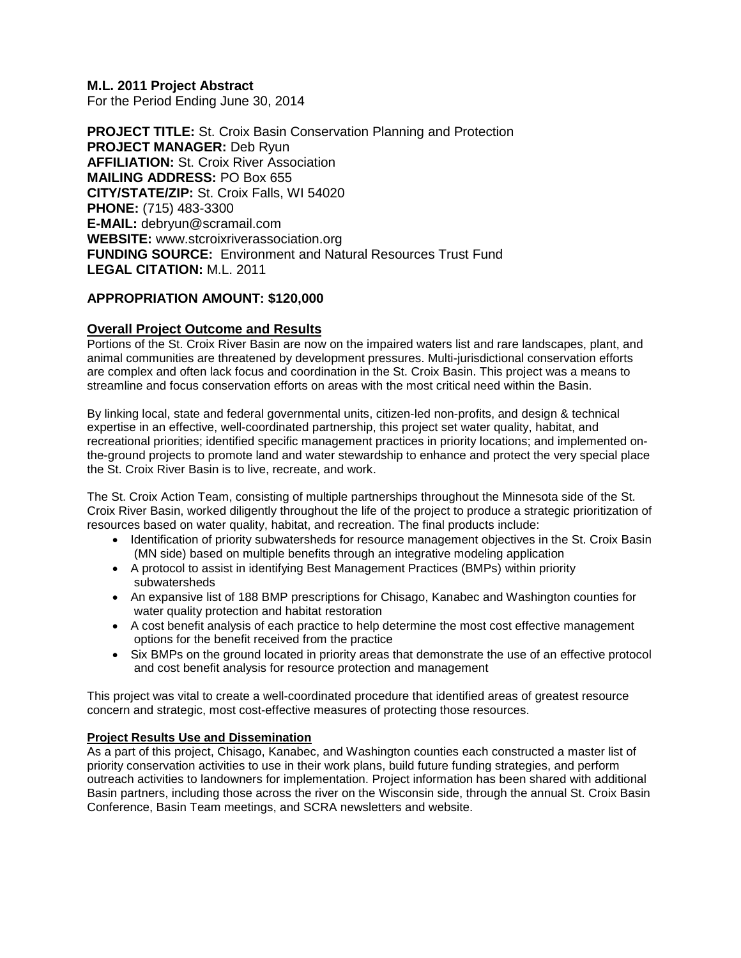**M.L. 2011 Project Abstract**

For the Period Ending June 30, 2014

**PROJECT TITLE:** St. Croix Basin Conservation Planning and Protection **PROJECT MANAGER:** Deb Ryun **AFFILIATION:** St. Croix River Association **MAILING ADDRESS:** PO Box 655 **CITY/STATE/ZIP:** St. Croix Falls, WI 54020 **PHONE:** (715) 483-3300 **E-MAIL:** debryun@scramail.com **WEBSITE:** www.stcroixriverassociation.org **FUNDING SOURCE:** Environment and Natural Resources Trust Fund **LEGAL CITATION:** M.L. 2011

# **APPROPRIATION AMOUNT: \$120,000**

### **Overall Project Outcome and Results**

Portions of the St. Croix River Basin are now on the impaired waters list and rare landscapes, plant, and animal communities are threatened by development pressures. Multi-jurisdictional conservation efforts are complex and often lack focus and coordination in the St. Croix Basin. This project was a means to streamline and focus conservation efforts on areas with the most critical need within the Basin.

By linking local, state and federal governmental units, citizen-led non-profits, and design & technical expertise in an effective, well-coordinated partnership, this project set water quality, habitat, and recreational priorities; identified specific management practices in priority locations; and implemented onthe-ground projects to promote land and water stewardship to enhance and protect the very special place the St. Croix River Basin is to live, recreate, and work.

The St. Croix Action Team, consisting of multiple partnerships throughout the Minnesota side of the St. Croix River Basin, worked diligently throughout the life of the project to produce a strategic prioritization of resources based on water quality, habitat, and recreation. The final products include:

- Identification of priority subwatersheds for resource management objectives in the St. Croix Basin (MN side) based on multiple benefits through an integrative modeling application
- A protocol to assist in identifying Best Management Practices (BMPs) within priority subwatersheds
- An expansive list of 188 BMP prescriptions for Chisago, Kanabec and Washington counties for water quality protection and habitat restoration
- A cost benefit analysis of each practice to help determine the most cost effective management options for the benefit received from the practice
- Six BMPs on the ground located in priority areas that demonstrate the use of an effective protocol and cost benefit analysis for resource protection and management

This project was vital to create a well-coordinated procedure that identified areas of greatest resource concern and strategic, most cost-effective measures of protecting those resources.

#### **Project Results Use and Dissemination**

As a part of this project, Chisago, Kanabec, and Washington counties each constructed a master list of priority conservation activities to use in their work plans, build future funding strategies, and perform outreach activities to landowners for implementation. Project information has been shared with additional Basin partners, including those across the river on the Wisconsin side, through the annual St. Croix Basin Conference, Basin Team meetings, and SCRA newsletters and website.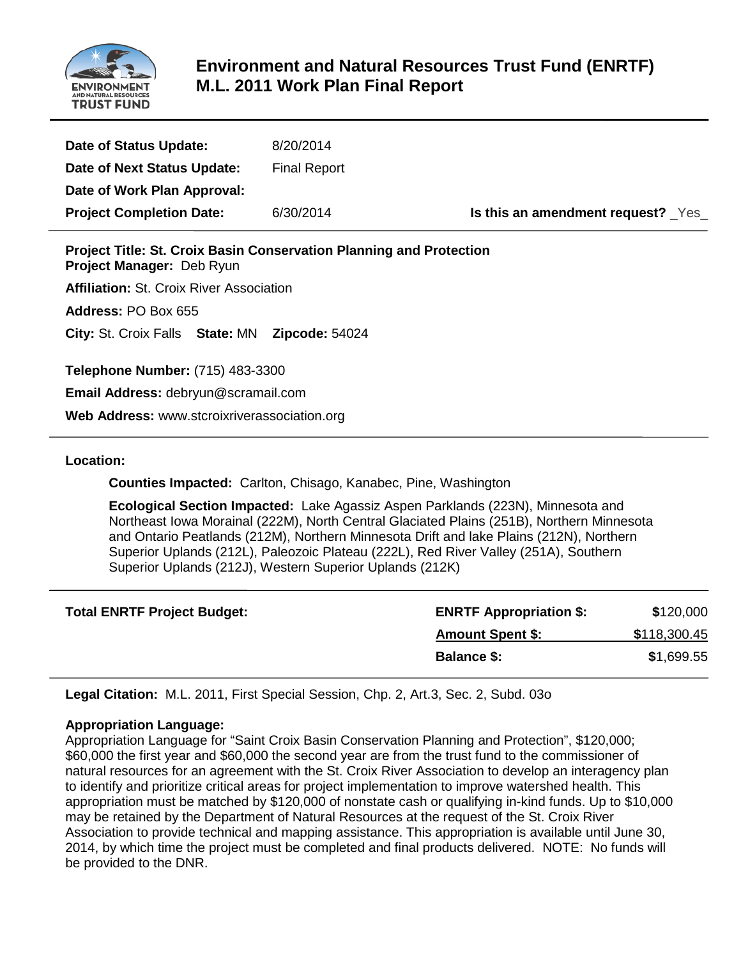

# **Environment and Natural Resources Trust Fund (ENRTF) M.L. 2011 Work Plan Final Report**

| <b>Project Completion Date:</b> | 6/30/2014           | Is this an amendment request? Yes |
|---------------------------------|---------------------|-----------------------------------|
| Date of Work Plan Approval:     |                     |                                   |
| Date of Next Status Update:     | <b>Final Report</b> |                                   |
| Date of Status Update:          | 8/20/2014           |                                   |
|                                 |                     |                                   |

**Project Title: St. Croix Basin Conservation Planning and Protection Project Manager:** Deb Ryun **Affiliation:** St. Croix River Association

**Address:** PO Box 655

**City:** St. Croix Falls **State:** MN **Zipcode:** 54024

**Telephone Number:** (715) 483-3300

**Email Address:** debryun@scramail.com

**Web Address:** www.stcroixriverassociation.org

#### **Location:**

**Counties Impacted:** Carlton, Chisago, Kanabec, Pine, Washington

**Ecological Section Impacted:** Lake Agassiz Aspen Parklands (223N), Minnesota and Northeast Iowa Morainal (222M), North Central Glaciated Plains (251B), Northern Minnesota and Ontario Peatlands (212M), Northern Minnesota Drift and lake Plains (212N), Northern Superior Uplands (212L), Paleozoic Plateau (222L), Red River Valley (251A), Southern Superior Uplands (212J), Western Superior Uplands (212K)

| <b>Total ENRTF Project Budget:</b> | <b>ENRTF Appropriation \$:</b> | \$120,000    |
|------------------------------------|--------------------------------|--------------|
|                                    | <b>Amount Spent \$:</b>        | \$118,300.45 |
|                                    | <b>Balance \$:</b>             | \$1,699.55   |

**Legal Citation:** M.L. 2011, First Special Session, Chp. 2, Art.3, Sec. 2, Subd. 03o

#### **Appropriation Language:**

Appropriation Language for "Saint Croix Basin Conservation Planning and Protection", \$120,000; \$60,000 the first year and \$60,000 the second year are from the trust fund to the commissioner of natural resources for an agreement with the St. Croix River Association to develop an interagency plan to identify and prioritize critical areas for project implementation to improve watershed health. This appropriation must be matched by \$120,000 of nonstate cash or qualifying in-kind funds. Up to \$10,000 may be retained by the Department of Natural Resources at the request of the St. Croix River Association to provide technical and mapping assistance. This appropriation is available until June 30, 2014, by which time the project must be completed and final products delivered. NOTE: No funds will be provided to the DNR.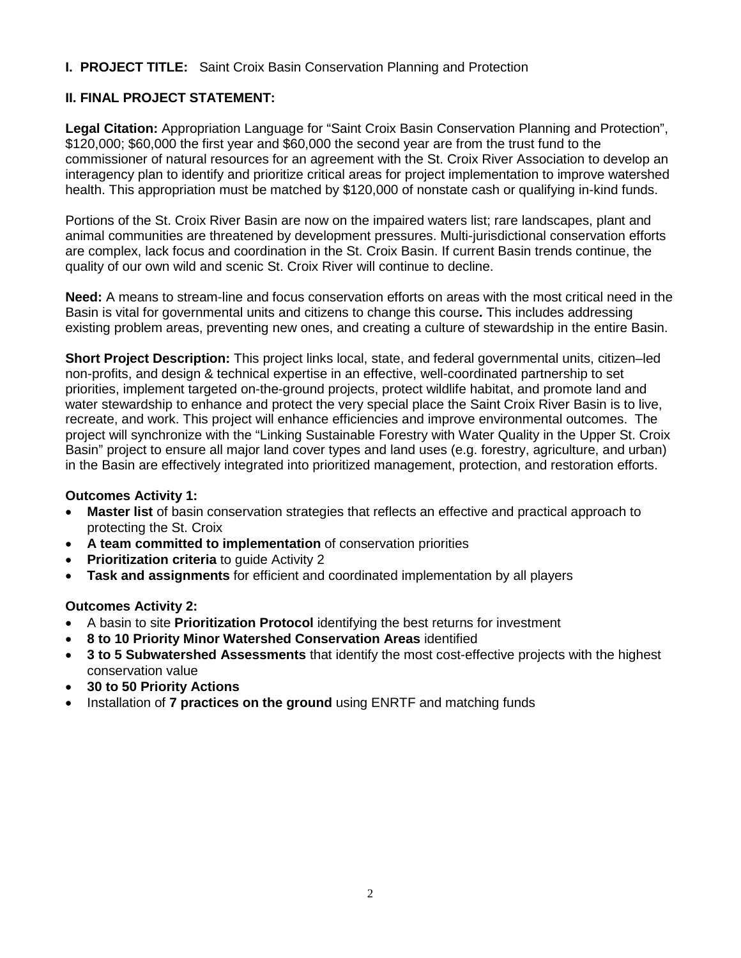# **I. PROJECT TITLE:** Saint Croix Basin Conservation Planning and Protection

# **II. FINAL PROJECT STATEMENT:**

**Legal Citation:** Appropriation Language for "Saint Croix Basin Conservation Planning and Protection", \$120,000; \$60,000 the first year and \$60,000 the second year are from the trust fund to the commissioner of natural resources for an agreement with the St. Croix River Association to develop an interagency plan to identify and prioritize critical areas for project implementation to improve watershed health. This appropriation must be matched by \$120,000 of nonstate cash or qualifying in-kind funds.

Portions of the St. Croix River Basin are now on the impaired waters list; rare landscapes, plant and animal communities are threatened by development pressures. Multi-jurisdictional conservation efforts are complex, lack focus and coordination in the St. Croix Basin. If current Basin trends continue, the quality of our own wild and scenic St. Croix River will continue to decline.

**Need:** A means to stream-line and focus conservation efforts on areas with the most critical need in the Basin is vital for governmental units and citizens to change this course**.** This includes addressing existing problem areas, preventing new ones, and creating a culture of stewardship in the entire Basin.

**Short Project Description:** This project links local, state, and federal governmental units, citizen–led non-profits, and design & technical expertise in an effective, well-coordinated partnership to set priorities, implement targeted on-the-ground projects, protect wildlife habitat, and promote land and water stewardship to enhance and protect the very special place the Saint Croix River Basin is to live, recreate, and work. This project will enhance efficiencies and improve environmental outcomes. The project will synchronize with the "Linking Sustainable Forestry with Water Quality in the Upper St. Croix Basin" project to ensure all major land cover types and land uses (e.g. forestry, agriculture, and urban) in the Basin are effectively integrated into prioritized management, protection, and restoration efforts.

# **Outcomes Activity 1:**

- **Master list** of basin conservation strategies that reflects an effective and practical approach to protecting the St. Croix
- **A team committed to implementation** of conservation priorities
- **Prioritization criteria** to guide Activity 2
- **Task and assignments** for efficient and coordinated implementation by all players

#### **Outcomes Activity 2:**

- A basin to site **Prioritization Protocol** identifying the best returns for investment
- **8 to 10 Priority Minor Watershed Conservation Areas** identified
- **3 to 5 Subwatershed Assessments** that identify the most cost-effective projects with the highest conservation value
- **30 to 50 Priority Actions**
- Installation of **7 practices on the ground** using ENRTF and matching funds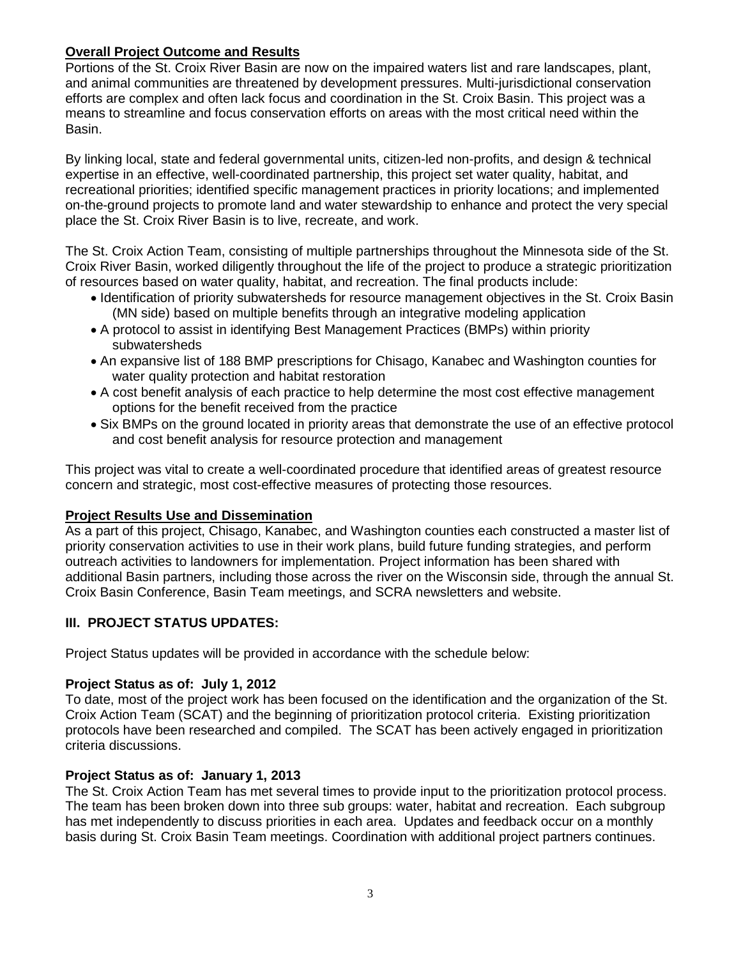# **Overall Project Outcome and Results**

Portions of the St. Croix River Basin are now on the impaired waters list and rare landscapes, plant, and animal communities are threatened by development pressures. Multi-jurisdictional conservation efforts are complex and often lack focus and coordination in the St. Croix Basin. This project was a means to streamline and focus conservation efforts on areas with the most critical need within the Basin.

By linking local, state and federal governmental units, citizen-led non-profits, and design & technical expertise in an effective, well-coordinated partnership, this project set water quality, habitat, and recreational priorities; identified specific management practices in priority locations; and implemented on-the-ground projects to promote land and water stewardship to enhance and protect the very special place the St. Croix River Basin is to live, recreate, and work.

The St. Croix Action Team, consisting of multiple partnerships throughout the Minnesota side of the St. Croix River Basin, worked diligently throughout the life of the project to produce a strategic prioritization of resources based on water quality, habitat, and recreation. The final products include:

- Identification of priority subwatersheds for resource management objectives in the St. Croix Basin (MN side) based on multiple benefits through an integrative modeling application
- A protocol to assist in identifying Best Management Practices (BMPs) within priority subwatersheds
- An expansive list of 188 BMP prescriptions for Chisago, Kanabec and Washington counties for water quality protection and habitat restoration
- A cost benefit analysis of each practice to help determine the most cost effective management options for the benefit received from the practice
- Six BMPs on the ground located in priority areas that demonstrate the use of an effective protocol and cost benefit analysis for resource protection and management

This project was vital to create a well-coordinated procedure that identified areas of greatest resource concern and strategic, most cost-effective measures of protecting those resources.

# **Project Results Use and Dissemination**

As a part of this project, Chisago, Kanabec, and Washington counties each constructed a master list of priority conservation activities to use in their work plans, build future funding strategies, and perform outreach activities to landowners for implementation. Project information has been shared with additional Basin partners, including those across the river on the Wisconsin side, through the annual St. Croix Basin Conference, Basin Team meetings, and SCRA newsletters and website.

# **III. PROJECT STATUS UPDATES:**

Project Status updates will be provided in accordance with the schedule below:

# **Project Status as of: July 1, 2012**

To date, most of the project work has been focused on the identification and the organization of the St. Croix Action Team (SCAT) and the beginning of prioritization protocol criteria. Existing prioritization protocols have been researched and compiled. The SCAT has been actively engaged in prioritization criteria discussions.

# **Project Status as of: January 1, 2013**

The St. Croix Action Team has met several times to provide input to the prioritization protocol process. The team has been broken down into three sub groups: water, habitat and recreation. Each subgroup has met independently to discuss priorities in each area. Updates and feedback occur on a monthly basis during St. Croix Basin Team meetings. Coordination with additional project partners continues.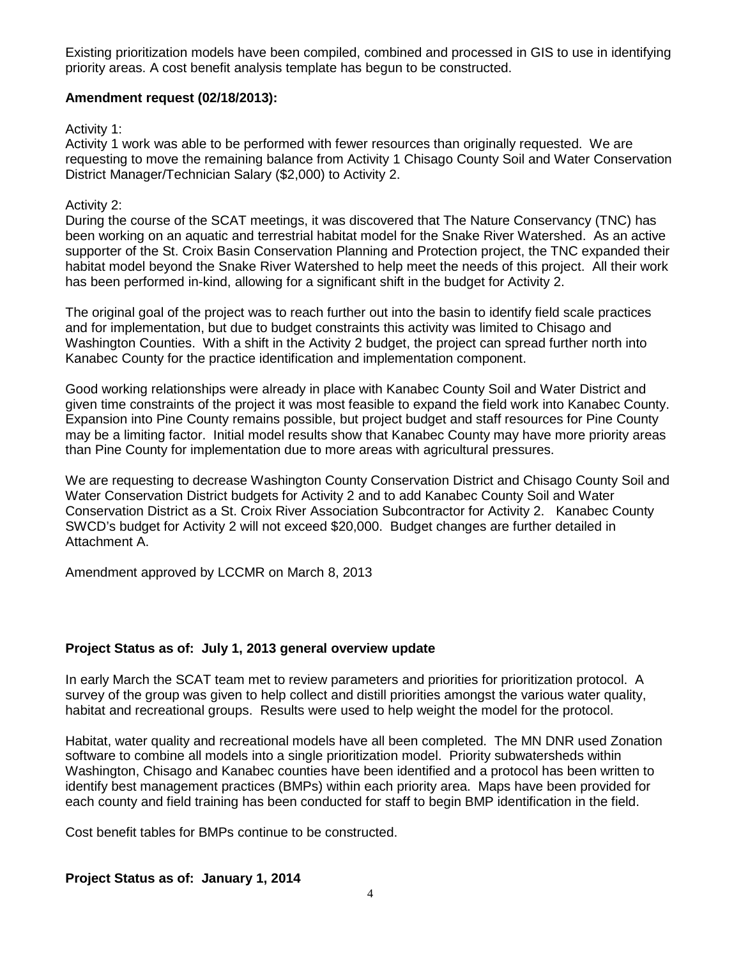Existing prioritization models have been compiled, combined and processed in GIS to use in identifying priority areas. A cost benefit analysis template has begun to be constructed.

# **Amendment request (02/18/2013):**

### Activity 1:

Activity 1 work was able to be performed with fewer resources than originally requested. We are requesting to move the remaining balance from Activity 1 Chisago County Soil and Water Conservation District Manager/Technician Salary (\$2,000) to Activity 2.

### Activity 2:

During the course of the SCAT meetings, it was discovered that The Nature Conservancy (TNC) has been working on an aquatic and terrestrial habitat model for the Snake River Watershed. As an active supporter of the St. Croix Basin Conservation Planning and Protection project, the TNC expanded their habitat model beyond the Snake River Watershed to help meet the needs of this project. All their work has been performed in-kind, allowing for a significant shift in the budget for Activity 2.

The original goal of the project was to reach further out into the basin to identify field scale practices and for implementation, but due to budget constraints this activity was limited to Chisago and Washington Counties. With a shift in the Activity 2 budget, the project can spread further north into Kanabec County for the practice identification and implementation component.

Good working relationships were already in place with Kanabec County Soil and Water District and given time constraints of the project it was most feasible to expand the field work into Kanabec County. Expansion into Pine County remains possible, but project budget and staff resources for Pine County may be a limiting factor. Initial model results show that Kanabec County may have more priority areas than Pine County for implementation due to more areas with agricultural pressures.

We are requesting to decrease Washington County Conservation District and Chisago County Soil and Water Conservation District budgets for Activity 2 and to add Kanabec County Soil and Water Conservation District as a St. Croix River Association Subcontractor for Activity 2. Kanabec County SWCD's budget for Activity 2 will not exceed \$20,000. Budget changes are further detailed in Attachment A.

Amendment approved by LCCMR on March 8, 2013

# **Project Status as of: July 1, 2013 general overview update**

In early March the SCAT team met to review parameters and priorities for prioritization protocol. A survey of the group was given to help collect and distill priorities amongst the various water quality, habitat and recreational groups. Results were used to help weight the model for the protocol.

Habitat, water quality and recreational models have all been completed. The MN DNR used Zonation software to combine all models into a single prioritization model. Priority subwatersheds within Washington, Chisago and Kanabec counties have been identified and a protocol has been written to identify best management practices (BMPs) within each priority area. Maps have been provided for each county and field training has been conducted for staff to begin BMP identification in the field.

Cost benefit tables for BMPs continue to be constructed.

# **Project Status as of: January 1, 2014**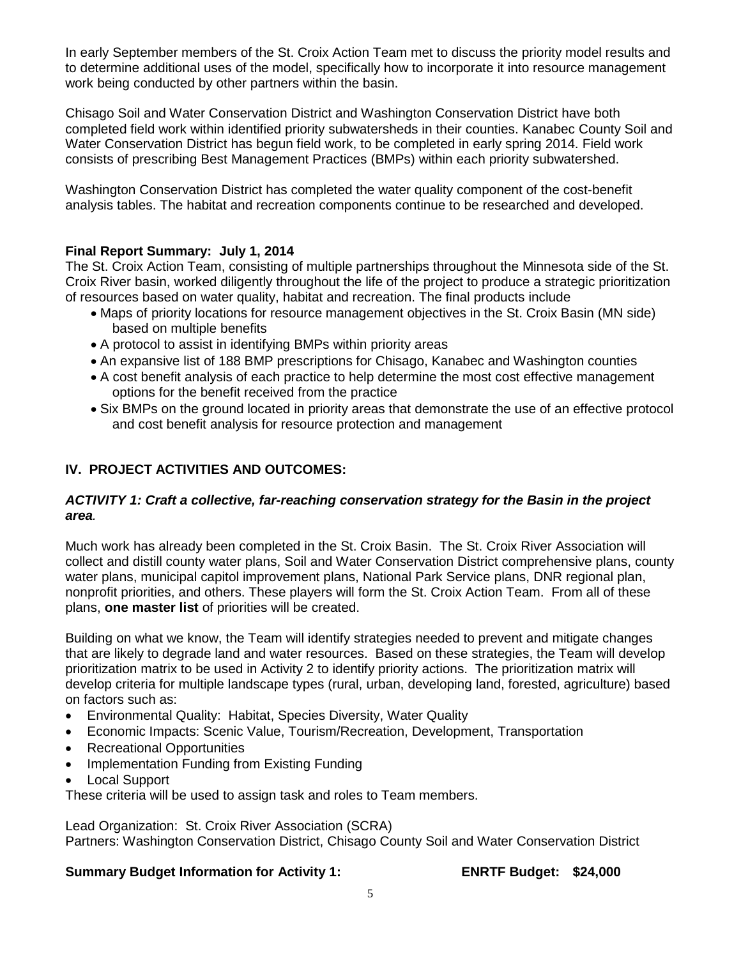In early September members of the St. Croix Action Team met to discuss the priority model results and to determine additional uses of the model, specifically how to incorporate it into resource management work being conducted by other partners within the basin.

Chisago Soil and Water Conservation District and Washington Conservation District have both completed field work within identified priority subwatersheds in their counties. Kanabec County Soil and Water Conservation District has begun field work, to be completed in early spring 2014. Field work consists of prescribing Best Management Practices (BMPs) within each priority subwatershed.

Washington Conservation District has completed the water quality component of the cost-benefit analysis tables. The habitat and recreation components continue to be researched and developed.

# **Final Report Summary: July 1, 2014**

The St. Croix Action Team, consisting of multiple partnerships throughout the Minnesota side of the St. Croix River basin, worked diligently throughout the life of the project to produce a strategic prioritization of resources based on water quality, habitat and recreation. The final products include

- Maps of priority locations for resource management objectives in the St. Croix Basin (MN side) based on multiple benefits
- A protocol to assist in identifying BMPs within priority areas
- An expansive list of 188 BMP prescriptions for Chisago, Kanabec and Washington counties
- A cost benefit analysis of each practice to help determine the most cost effective management options for the benefit received from the practice
- Six BMPs on the ground located in priority areas that demonstrate the use of an effective protocol and cost benefit analysis for resource protection and management

# **IV. PROJECT ACTIVITIES AND OUTCOMES:**

# *ACTIVITY 1: Craft a collective, far-reaching conservation strategy for the Basin in the project area.*

Much work has already been completed in the St. Croix Basin. The St. Croix River Association will collect and distill county water plans, Soil and Water Conservation District comprehensive plans, county water plans, municipal capitol improvement plans, National Park Service plans, DNR regional plan, nonprofit priorities, and others. These players will form the St. Croix Action Team. From all of these plans, **one master list** of priorities will be created.

Building on what we know, the Team will identify strategies needed to prevent and mitigate changes that are likely to degrade land and water resources. Based on these strategies, the Team will develop prioritization matrix to be used in Activity 2 to identify priority actions. The prioritization matrix will develop criteria for multiple landscape types (rural, urban, developing land, forested, agriculture) based on factors such as:

- Environmental Quality: Habitat, Species Diversity, Water Quality
- Economic Impacts: Scenic Value, Tourism/Recreation, Development, Transportation
- Recreational Opportunities
- Implementation Funding from Existing Funding
- Local Support

These criteria will be used to assign task and roles to Team members.

Lead Organization: St. Croix River Association (SCRA) Partners: Washington Conservation District, Chisago County Soil and Water Conservation District

# **Summary Budget Information for Activity 1: ENRTF Budget: \$24,000**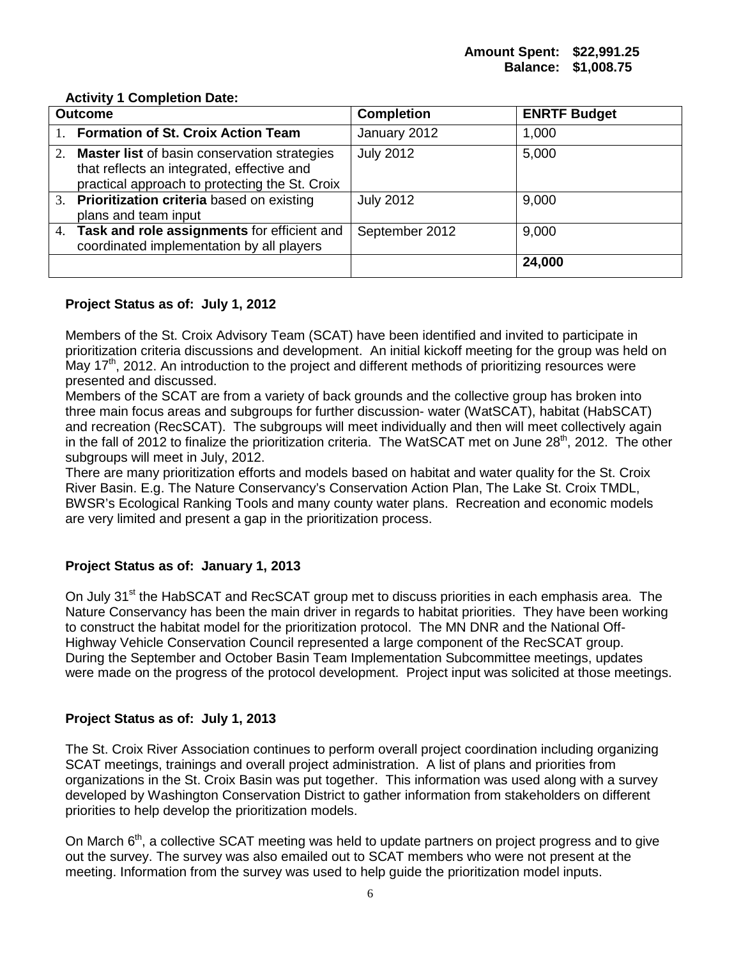#### **Activity 1 Completion Date:**

| <b>Outcome</b> |                                                                                                                                                 | <b>Completion</b> | <b>ENRTF Budget</b> |  |
|----------------|-------------------------------------------------------------------------------------------------------------------------------------------------|-------------------|---------------------|--|
|                | <b>Formation of St. Croix Action Team</b>                                                                                                       | January 2012      | 1,000               |  |
|                | 2. Master list of basin conservation strategies<br>that reflects an integrated, effective and<br>practical approach to protecting the St. Croix | <b>July 2012</b>  | 5,000               |  |
|                | 3. Prioritization criteria based on existing<br>plans and team input                                                                            | <b>July 2012</b>  | 9,000               |  |
|                | 4. Task and role assignments for efficient and<br>coordinated implementation by all players                                                     | September 2012    | 9,000               |  |
|                |                                                                                                                                                 |                   | 24,000              |  |

# **Project Status as of: July 1, 2012**

Members of the St. Croix Advisory Team (SCAT) have been identified and invited to participate in prioritization criteria discussions and development. An initial kickoff meeting for the group was held on May 17<sup>th</sup>, 2012. An introduction to the project and different methods of prioritizing resources were presented and discussed.

Members of the SCAT are from a variety of back grounds and the collective group has broken into three main focus areas and subgroups for further discussion- water (WatSCAT), habitat (HabSCAT) and recreation (RecSCAT). The subgroups will meet individually and then will meet collectively again in the fall of 2012 to finalize the prioritization criteria. The WatSCAT met on June 28<sup>th</sup>, 2012. The other subgroups will meet in July, 2012.

There are many prioritization efforts and models based on habitat and water quality for the St. Croix River Basin. E.g. The Nature Conservancy's Conservation Action Plan, The Lake St. Croix TMDL, BWSR's Ecological Ranking Tools and many county water plans. Recreation and economic models are very limited and present a gap in the prioritization process.

# **Project Status as of: January 1, 2013**

On July 31<sup>st</sup> the HabSCAT and RecSCAT group met to discuss priorities in each emphasis area. The Nature Conservancy has been the main driver in regards to habitat priorities. They have been working to construct the habitat model for the prioritization protocol. The MN DNR and the National Off-Highway Vehicle Conservation Council represented a large component of the RecSCAT group. During the September and October Basin Team Implementation Subcommittee meetings, updates were made on the progress of the protocol development. Project input was solicited at those meetings.

# **Project Status as of: July 1, 2013**

The St. Croix River Association continues to perform overall project coordination including organizing SCAT meetings, trainings and overall project administration. A list of plans and priorities from organizations in the St. Croix Basin was put together. This information was used along with a survey developed by Washington Conservation District to gather information from stakeholders on different priorities to help develop the prioritization models.

On March  $6<sup>th</sup>$ , a collective SCAT meeting was held to update partners on project progress and to give out the survey. The survey was also emailed out to SCAT members who were not present at the meeting. Information from the survey was used to help guide the prioritization model inputs.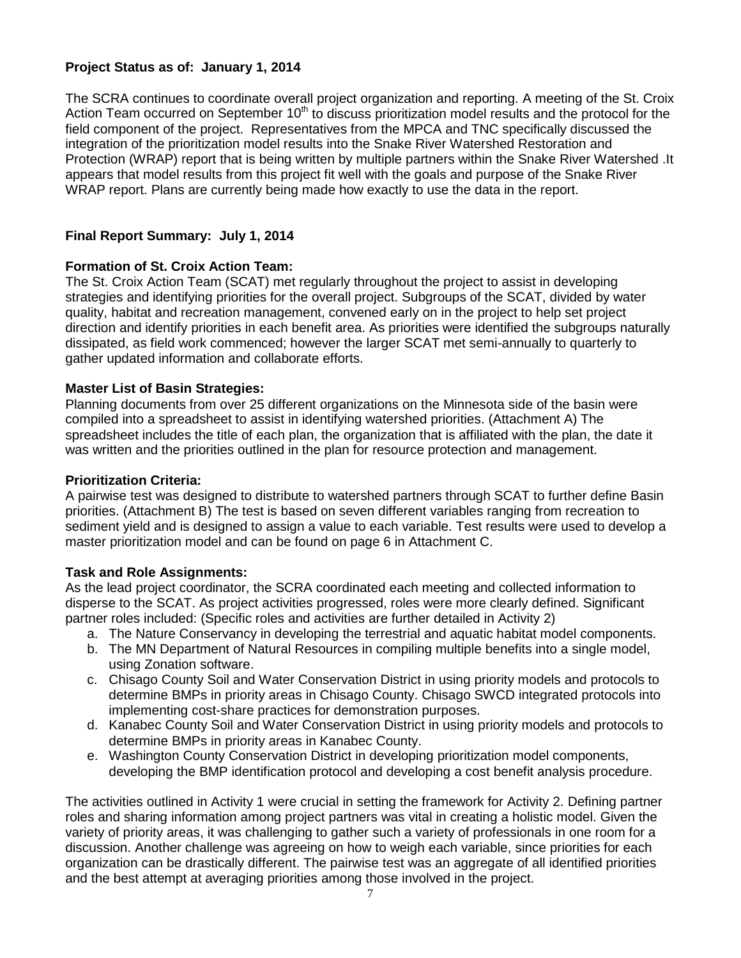# **Project Status as of: January 1, 2014**

The SCRA continues to coordinate overall project organization and reporting. A meeting of the St. Croix Action Team occurred on September  $10<sup>th</sup>$  to discuss prioritization model results and the protocol for the field component of the project. Representatives from the MPCA and TNC specifically discussed the integration of the prioritization model results into the Snake River Watershed Restoration and Protection (WRAP) report that is being written by multiple partners within the Snake River Watershed .It appears that model results from this project fit well with the goals and purpose of the Snake River WRAP report. Plans are currently being made how exactly to use the data in the report.

# **Final Report Summary: July 1, 2014**

### **Formation of St. Croix Action Team:**

The St. Croix Action Team (SCAT) met regularly throughout the project to assist in developing strategies and identifying priorities for the overall project. Subgroups of the SCAT, divided by water quality, habitat and recreation management, convened early on in the project to help set project direction and identify priorities in each benefit area. As priorities were identified the subgroups naturally dissipated, as field work commenced; however the larger SCAT met semi-annually to quarterly to gather updated information and collaborate efforts.

### **Master List of Basin Strategies:**

Planning documents from over 25 different organizations on the Minnesota side of the basin were compiled into a spreadsheet to assist in identifying watershed priorities. (Attachment A) The spreadsheet includes the title of each plan, the organization that is affiliated with the plan, the date it was written and the priorities outlined in the plan for resource protection and management.

#### **Prioritization Criteria:**

A pairwise test was designed to distribute to watershed partners through SCAT to further define Basin priorities. (Attachment B) The test is based on seven different variables ranging from recreation to sediment yield and is designed to assign a value to each variable. Test results were used to develop a master prioritization model and can be found on page 6 in Attachment C.

#### **Task and Role Assignments:**

As the lead project coordinator, the SCRA coordinated each meeting and collected information to disperse to the SCAT. As project activities progressed, roles were more clearly defined. Significant partner roles included: (Specific roles and activities are further detailed in Activity 2)

- a. The Nature Conservancy in developing the terrestrial and aquatic habitat model components.
- b. The MN Department of Natural Resources in compiling multiple benefits into a single model, using Zonation software.
- c. Chisago County Soil and Water Conservation District in using priority models and protocols to determine BMPs in priority areas in Chisago County. Chisago SWCD integrated protocols into implementing cost-share practices for demonstration purposes.
- d. Kanabec County Soil and Water Conservation District in using priority models and protocols to determine BMPs in priority areas in Kanabec County.
- e. Washington County Conservation District in developing prioritization model components, developing the BMP identification protocol and developing a cost benefit analysis procedure.

The activities outlined in Activity 1 were crucial in setting the framework for Activity 2. Defining partner roles and sharing information among project partners was vital in creating a holistic model. Given the variety of priority areas, it was challenging to gather such a variety of professionals in one room for a discussion. Another challenge was agreeing on how to weigh each variable, since priorities for each organization can be drastically different. The pairwise test was an aggregate of all identified priorities and the best attempt at averaging priorities among those involved in the project.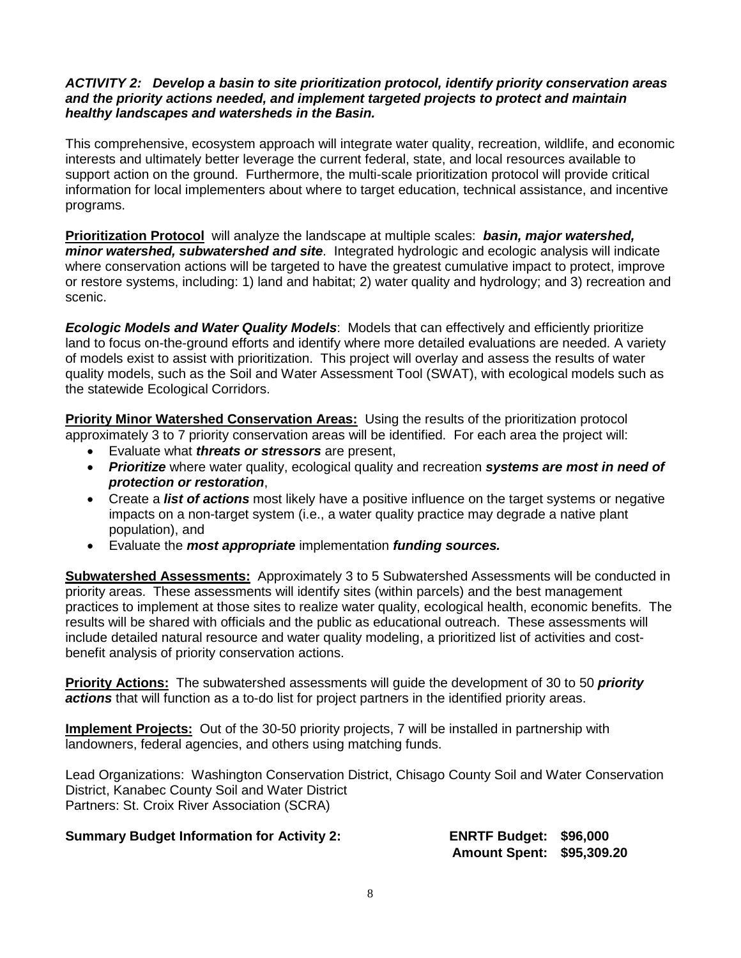### *ACTIVITY 2: Develop a basin to site prioritization protocol, identify priority conservation areas and the priority actions needed, and implement targeted projects to protect and maintain healthy landscapes and watersheds in the Basin.*

This comprehensive, ecosystem approach will integrate water quality, recreation, wildlife, and economic interests and ultimately better leverage the current federal, state, and local resources available to support action on the ground. Furthermore, the multi-scale prioritization protocol will provide critical information for local implementers about where to target education, technical assistance, and incentive programs.

**Prioritization Protocol** will analyze the landscape at multiple scales: *basin, major watershed, minor watershed, subwatershed and site*. Integrated hydrologic and ecologic analysis will indicate where conservation actions will be targeted to have the greatest cumulative impact to protect, improve or restore systems, including: 1) land and habitat; 2) water quality and hydrology; and 3) recreation and scenic.

*Ecologic Models and Water Quality Models*: Models that can effectively and efficiently prioritize land to focus on-the-ground efforts and identify where more detailed evaluations are needed. A variety of models exist to assist with prioritization. This project will overlay and assess the results of water quality models, such as the Soil and Water Assessment Tool (SWAT), with ecological models such as the statewide Ecological Corridors.

**Priority Minor Watershed Conservation Areas:** Using the results of the prioritization protocol approximately 3 to 7 priority conservation areas will be identified. For each area the project will:

- Evaluate what *threats or stressors* are present,
- *Prioritize* where water quality, ecological quality and recreation *systems are most in need of protection or restoration*,
- Create a *list of actions* most likely have a positive influence on the target systems or negative impacts on a non-target system (i.e., a water quality practice may degrade a native plant population), and
- Evaluate the *most appropriate* implementation *funding sources.*

**Subwatershed Assessments:** Approximately 3 to 5 Subwatershed Assessments will be conducted in priority areas. These assessments will identify sites (within parcels) and the best management practices to implement at those sites to realize water quality, ecological health, economic benefits. The results will be shared with officials and the public as educational outreach. These assessments will include detailed natural resource and water quality modeling, a prioritized list of activities and costbenefit analysis of priority conservation actions.

**Priority Actions:** The subwatershed assessments will guide the development of 30 to 50 *priority actions* that will function as a to-do list for project partners in the identified priority areas.

**Implement Projects:** Out of the 30-50 priority projects, 7 will be installed in partnership with landowners, federal agencies, and others using matching funds.

Lead Organizations: Washington Conservation District, Chisago County Soil and Water Conservation District, Kanabec County Soil and Water District Partners: St. Croix River Association (SCRA)

# **Summary Budget Information for Activity 2: ENRTF Budget: \$96,000**

**Amount Spent: \$95,309.20**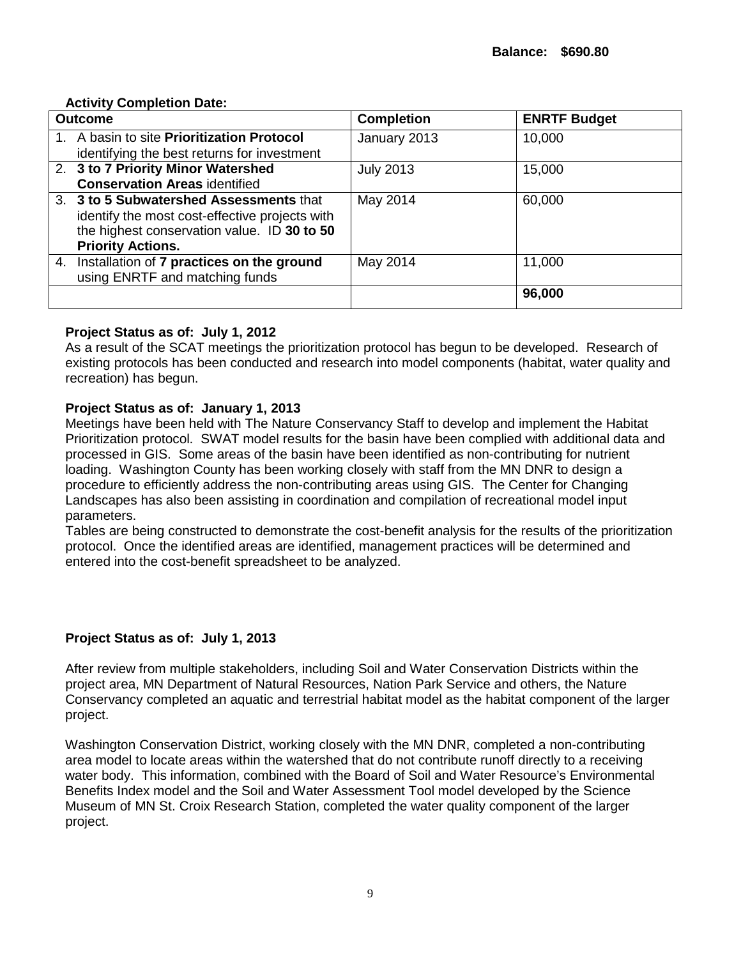# **Activity Completion Date:**

| <b>Outcome</b>                                 | <b>Completion</b> | <b>ENRTF Budget</b> |
|------------------------------------------------|-------------------|---------------------|
| 1. A basin to site Prioritization Protocol     | January 2013      | 10,000              |
| identifying the best returns for investment    |                   |                     |
| 2. 3 to 7 Priority Minor Watershed             | <b>July 2013</b>  | 15,000              |
| <b>Conservation Areas identified</b>           |                   |                     |
| 3. 3 to 5 Subwatershed Assessments that        | May 2014          | 60,000              |
| identify the most cost-effective projects with |                   |                     |
| the highest conservation value. ID 30 to 50    |                   |                     |
| <b>Priority Actions.</b>                       |                   |                     |
| 4. Installation of 7 practices on the ground   | May 2014          | 11,000              |
| using ENRTF and matching funds                 |                   |                     |
|                                                |                   | 96,000              |

# **Project Status as of: July 1, 2012**

As a result of the SCAT meetings the prioritization protocol has begun to be developed. Research of existing protocols has been conducted and research into model components (habitat, water quality and recreation) has begun.

# **Project Status as of: January 1, 2013**

Meetings have been held with The Nature Conservancy Staff to develop and implement the Habitat Prioritization protocol. SWAT model results for the basin have been complied with additional data and processed in GIS. Some areas of the basin have been identified as non-contributing for nutrient loading. Washington County has been working closely with staff from the MN DNR to design a procedure to efficiently address the non-contributing areas using GIS. The Center for Changing Landscapes has also been assisting in coordination and compilation of recreational model input parameters.

Tables are being constructed to demonstrate the cost-benefit analysis for the results of the prioritization protocol. Once the identified areas are identified, management practices will be determined and entered into the cost-benefit spreadsheet to be analyzed.

# **Project Status as of: July 1, 2013**

After review from multiple stakeholders, including Soil and Water Conservation Districts within the project area, MN Department of Natural Resources, Nation Park Service and others, the Nature Conservancy completed an aquatic and terrestrial habitat model as the habitat component of the larger project.

Washington Conservation District, working closely with the MN DNR, completed a non-contributing area model to locate areas within the watershed that do not contribute runoff directly to a receiving water body. This information, combined with the Board of Soil and Water Resource's Environmental Benefits Index model and the Soil and Water Assessment Tool model developed by the Science Museum of MN St. Croix Research Station, completed the water quality component of the larger project.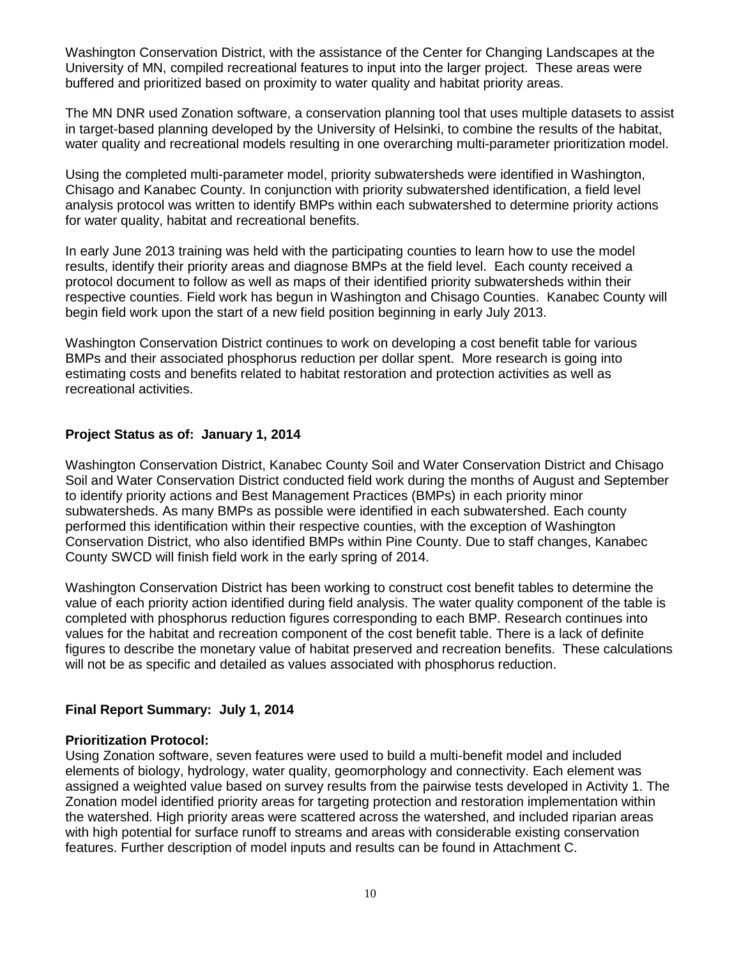Washington Conservation District, with the assistance of the Center for Changing Landscapes at the University of MN, compiled recreational features to input into the larger project. These areas were buffered and prioritized based on proximity to water quality and habitat priority areas.

The MN DNR used Zonation software, a conservation planning tool that uses multiple datasets to assist in target-based planning developed by the University of Helsinki, to combine the results of the habitat, water quality and recreational models resulting in one overarching multi-parameter prioritization model.

Using the completed multi-parameter model, priority subwatersheds were identified in Washington, Chisago and Kanabec County. In conjunction with priority subwatershed identification, a field level analysis protocol was written to identify BMPs within each subwatershed to determine priority actions for water quality, habitat and recreational benefits.

In early June 2013 training was held with the participating counties to learn how to use the model results, identify their priority areas and diagnose BMPs at the field level. Each county received a protocol document to follow as well as maps of their identified priority subwatersheds within their respective counties. Field work has begun in Washington and Chisago Counties. Kanabec County will begin field work upon the start of a new field position beginning in early July 2013.

Washington Conservation District continues to work on developing a cost benefit table for various BMPs and their associated phosphorus reduction per dollar spent. More research is going into estimating costs and benefits related to habitat restoration and protection activities as well as recreational activities.

# **Project Status as of: January 1, 2014**

Washington Conservation District, Kanabec County Soil and Water Conservation District and Chisago Soil and Water Conservation District conducted field work during the months of August and September to identify priority actions and Best Management Practices (BMPs) in each priority minor subwatersheds. As many BMPs as possible were identified in each subwatershed. Each county performed this identification within their respective counties, with the exception of Washington Conservation District, who also identified BMPs within Pine County. Due to staff changes, Kanabec County SWCD will finish field work in the early spring of 2014.

Washington Conservation District has been working to construct cost benefit tables to determine the value of each priority action identified during field analysis. The water quality component of the table is completed with phosphorus reduction figures corresponding to each BMP. Research continues into values for the habitat and recreation component of the cost benefit table. There is a lack of definite figures to describe the monetary value of habitat preserved and recreation benefits. These calculations will not be as specific and detailed as values associated with phosphorus reduction.

#### **Final Report Summary: July 1, 2014**

#### **Prioritization Protocol:**

Using Zonation software, seven features were used to build a multi-benefit model and included elements of biology, hydrology, water quality, geomorphology and connectivity. Each element was assigned a weighted value based on survey results from the pairwise tests developed in Activity 1. The Zonation model identified priority areas for targeting protection and restoration implementation within the watershed. High priority areas were scattered across the watershed, and included riparian areas with high potential for surface runoff to streams and areas with considerable existing conservation features. Further description of model inputs and results can be found in Attachment C.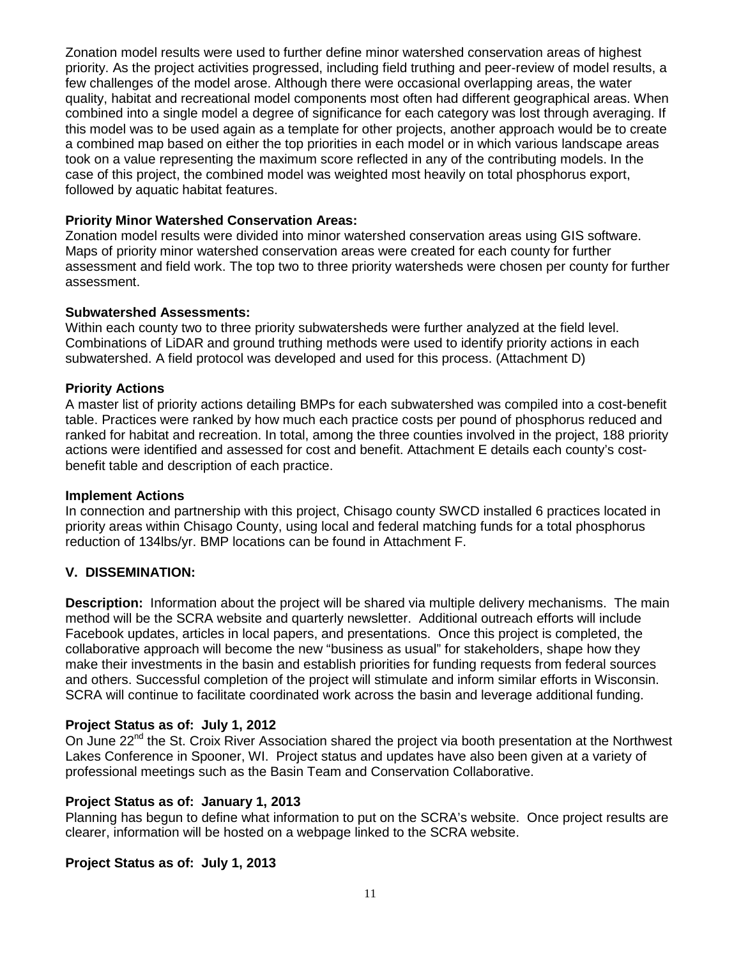Zonation model results were used to further define minor watershed conservation areas of highest priority. As the project activities progressed, including field truthing and peer-review of model results, a few challenges of the model arose. Although there were occasional overlapping areas, the water quality, habitat and recreational model components most often had different geographical areas. When combined into a single model a degree of significance for each category was lost through averaging. If this model was to be used again as a template for other projects, another approach would be to create a combined map based on either the top priorities in each model or in which various landscape areas took on a value representing the maximum score reflected in any of the contributing models. In the case of this project, the combined model was weighted most heavily on total phosphorus export, followed by aquatic habitat features.

# **Priority Minor Watershed Conservation Areas:**

Zonation model results were divided into minor watershed conservation areas using GIS software. Maps of priority minor watershed conservation areas were created for each county for further assessment and field work. The top two to three priority watersheds were chosen per county for further assessment.

### **Subwatershed Assessments:**

Within each county two to three priority subwatersheds were further analyzed at the field level. Combinations of LiDAR and ground truthing methods were used to identify priority actions in each subwatershed. A field protocol was developed and used for this process. (Attachment D)

### **Priority Actions**

A master list of priority actions detailing BMPs for each subwatershed was compiled into a cost-benefit table. Practices were ranked by how much each practice costs per pound of phosphorus reduced and ranked for habitat and recreation. In total, among the three counties involved in the project, 188 priority actions were identified and assessed for cost and benefit. Attachment E details each county's costbenefit table and description of each practice.

#### **Implement Actions**

In connection and partnership with this project, Chisago county SWCD installed 6 practices located in priority areas within Chisago County, using local and federal matching funds for a total phosphorus reduction of 134lbs/yr. BMP locations can be found in Attachment F.

# **V. DISSEMINATION:**

**Description:** Information about the project will be shared via multiple delivery mechanisms. The main method will be the SCRA website and quarterly newsletter. Additional outreach efforts will include Facebook updates, articles in local papers, and presentations. Once this project is completed, the collaborative approach will become the new "business as usual" for stakeholders, shape how they make their investments in the basin and establish priorities for funding requests from federal sources and others. Successful completion of the project will stimulate and inform similar efforts in Wisconsin. SCRA will continue to facilitate coordinated work across the basin and leverage additional funding.

# **Project Status as of: July 1, 2012**

On June 22<sup>nd</sup> the St. Croix River Association shared the project via booth presentation at the Northwest Lakes Conference in Spooner, WI. Project status and updates have also been given at a variety of professional meetings such as the Basin Team and Conservation Collaborative.

#### **Project Status as of: January 1, 2013**

Planning has begun to define what information to put on the SCRA's website. Once project results are clearer, information will be hosted on a webpage linked to the SCRA website.

#### **Project Status as of: July 1, 2013**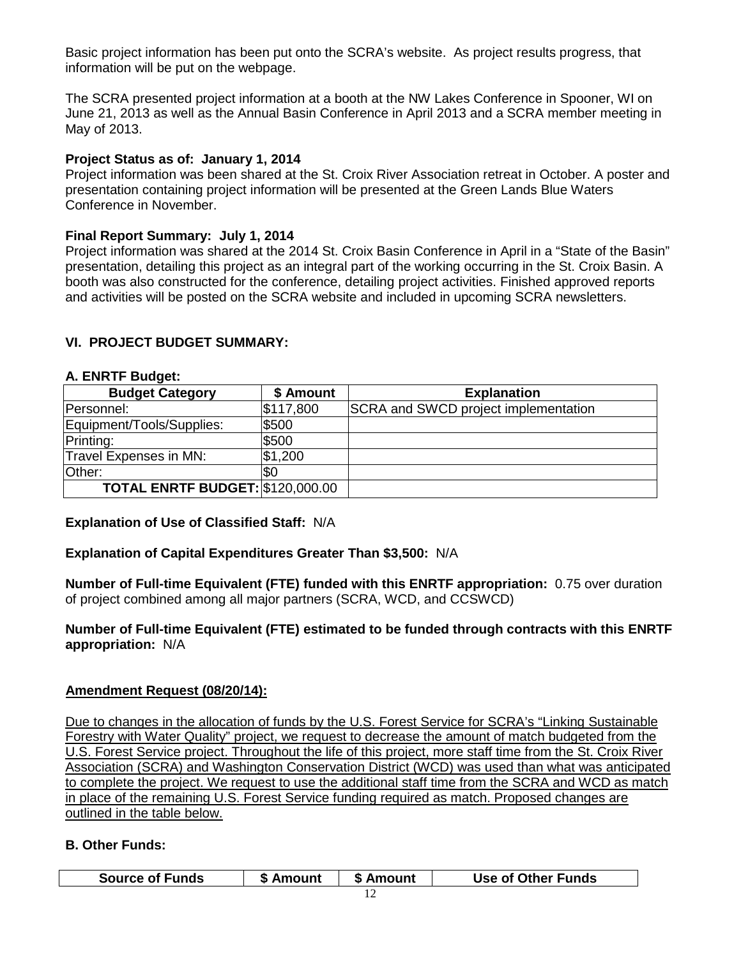Basic project information has been put onto the SCRA's website. As project results progress, that information will be put on the webpage.

The SCRA presented project information at a booth at the NW Lakes Conference in Spooner, WI on June 21, 2013 as well as the Annual Basin Conference in April 2013 and a SCRA member meeting in May of 2013.

### **Project Status as of: January 1, 2014**

Project information was been shared at the St. Croix River Association retreat in October. A poster and presentation containing project information will be presented at the Green Lands Blue Waters Conference in November.

### **Final Report Summary: July 1, 2014**

Project information was shared at the 2014 St. Croix Basin Conference in April in a "State of the Basin" presentation, detailing this project as an integral part of the working occurring in the St. Croix Basin. A booth was also constructed for the conference, detailing project activities. Finished approved reports and activities will be posted on the SCRA website and included in upcoming SCRA newsletters.

# **VI. PROJECT BUDGET SUMMARY:**

### **A. ENRTF Budget:**

| <b>Budget Category</b>                  | \$ Amount | <b>Explanation</b>                   |
|-----------------------------------------|-----------|--------------------------------------|
| Personnel:                              | \$117,800 | SCRA and SWCD project implementation |
| Equipment/Tools/Supplies:               | \$500     |                                      |
| Printing:                               | \$500     |                                      |
| Travel Expenses in MN:                  | \$1,200   |                                      |
| Other:                                  | ISO       |                                      |
| <b>TOTAL ENRTF BUDGET: \$120,000.00</b> |           |                                      |

# **Explanation of Use of Classified Staff:** N/A

#### **Explanation of Capital Expenditures Greater Than \$3,500:** N/A

**Number of Full-time Equivalent (FTE) funded with this ENRTF appropriation:** 0.75 over duration of project combined among all major partners (SCRA, WCD, and CCSWCD)

### **Number of Full-time Equivalent (FTE) estimated to be funded through contracts with this ENRTF appropriation:** N/A

#### **Amendment Request (08/20/14):**

Due to changes in the allocation of funds by the U.S. Forest Service for SCRA's "Linking Sustainable Forestry with Water Quality" project, we request to decrease the amount of match budgeted from the U.S. Forest Service project. Throughout the life of this project, more staff time from the St. Croix River Association (SCRA) and Washington Conservation District (WCD) was used than what was anticipated to complete the project. We request to use the additional staff time from the SCRA and WCD as match in place of the remaining U.S. Forest Service funding required as match. Proposed changes are outlined in the table below.

### **B. Other Funds:**

| <b>Source of Funds</b><br>Use of Other Funds<br>\$ Amount<br><b>S</b> Amount |
|------------------------------------------------------------------------------|
|------------------------------------------------------------------------------|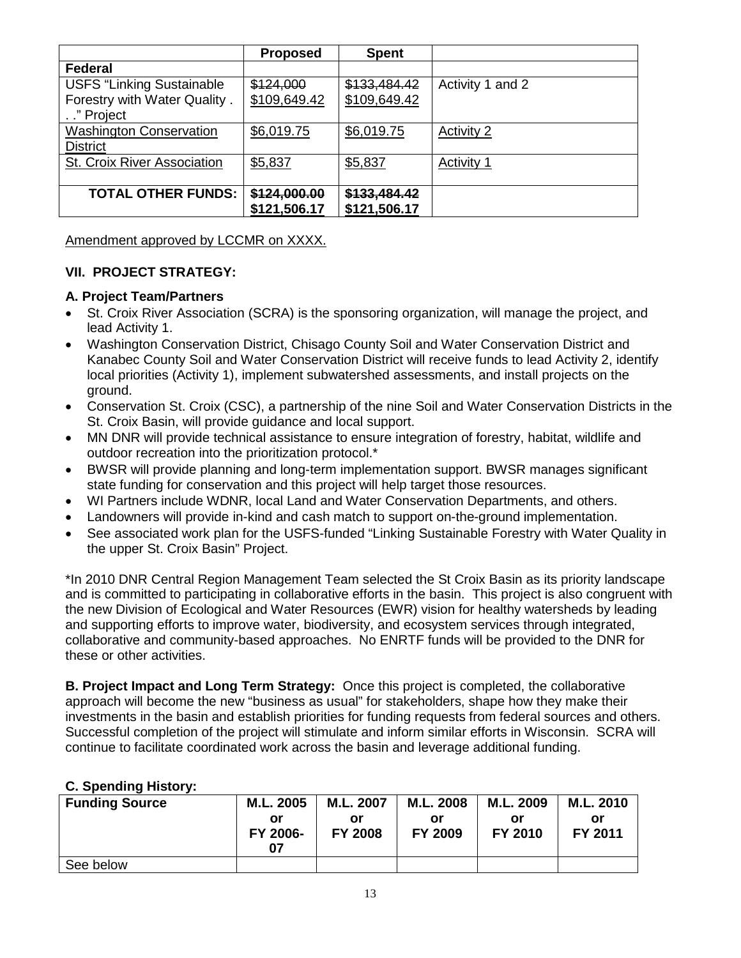|                                  | <b>Proposed</b> | <b>Spent</b> |                   |
|----------------------------------|-----------------|--------------|-------------------|
| <b>Federal</b>                   |                 |              |                   |
| <b>USFS "Linking Sustainable</b> | \$124,000       | \$133,484.42 | Activity 1 and 2  |
| Forestry with Water Quality.     | \$109,649.42    | \$109,649.42 |                   |
| " Project                        |                 |              |                   |
| <b>Washington Conservation</b>   | \$6,019.75      | \$6,019.75   | <b>Activity 2</b> |
| <b>District</b>                  |                 |              |                   |
| St. Croix River Association      | \$5,837         | \$5,837      | <b>Activity 1</b> |
|                                  |                 |              |                   |
| <b>TOTAL OTHER FUNDS:</b>        | \$124,000.00    | \$133,484.42 |                   |
|                                  | \$121,506.17    | \$121,506.17 |                   |

Amendment approved by LCCMR on XXXX.

# **VII. PROJECT STRATEGY:**

# **A. Project Team/Partners**

- St. Croix River Association (SCRA) is the sponsoring organization, will manage the project, and lead Activity 1.
- Washington Conservation District, Chisago County Soil and Water Conservation District and Kanabec County Soil and Water Conservation District will receive funds to lead Activity 2, identify local priorities (Activity 1), implement subwatershed assessments, and install projects on the ground.
- Conservation St. Croix (CSC), a partnership of the nine Soil and Water Conservation Districts in the St. Croix Basin, will provide guidance and local support.
- MN DNR will provide technical assistance to ensure integration of forestry, habitat, wildlife and outdoor recreation into the prioritization protocol.\*
- BWSR will provide planning and long-term implementation support. BWSR manages significant state funding for conservation and this project will help target those resources.
- WI Partners include WDNR, local Land and Water Conservation Departments, and others.
- Landowners will provide in-kind and cash match to support on-the-ground implementation.
- See associated work plan for the USFS-funded "Linking Sustainable Forestry with Water Quality in the upper St. Croix Basin" Project.

\*In 2010 DNR Central Region Management Team selected the St Croix Basin as its priority landscape and is committed to participating in collaborative efforts in the basin. This project is also congruent with the new Division of Ecological and Water Resources (EWR) vision for healthy watersheds by leading and supporting efforts to improve water, biodiversity, and ecosystem services through integrated, collaborative and community-based approaches. No ENRTF funds will be provided to the DNR for these or other activities.

**B. Project Impact and Long Term Strategy:** Once this project is completed, the collaborative approach will become the new "business as usual" for stakeholders, shape how they make their investments in the basin and establish priorities for funding requests from federal sources and others. Successful completion of the project will stimulate and inform similar efforts in Wisconsin. SCRA will continue to facilitate coordinated work across the basin and leverage additional funding.

# **C. Spending History:**

| <b>Funding Source</b> | M.L. 2005<br>or<br>FY 2006-<br>07 | M.L. 2007<br>or<br><b>FY 2008</b> | M.L. 2008<br>or<br>FY 2009 | M.L. 2009<br>or<br>FY 2010 | M.L. 2010<br>or<br>FY 2011 |
|-----------------------|-----------------------------------|-----------------------------------|----------------------------|----------------------------|----------------------------|
| See below             |                                   |                                   |                            |                            |                            |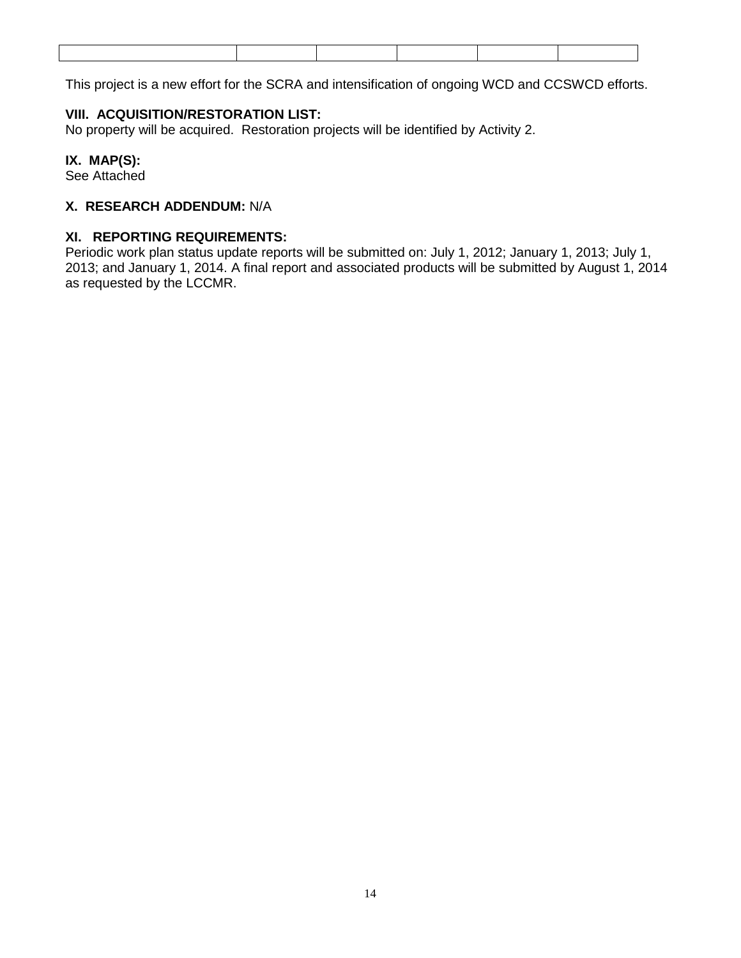This project is a new effort for the SCRA and intensification of ongoing WCD and CCSWCD efforts.

# **VIII. ACQUISITION/RESTORATION LIST:**

No property will be acquired. Restoration projects will be identified by Activity 2.

# **IX. MAP(S):**

See Attached

# **X. RESEARCH ADDENDUM:** N/A

### **XI. REPORTING REQUIREMENTS:**

Periodic work plan status update reports will be submitted on: July 1, 2012; January 1, 2013; July 1, 2013; and January 1, 2014. A final report and associated products will be submitted by August 1, 2014 as requested by the LCCMR.